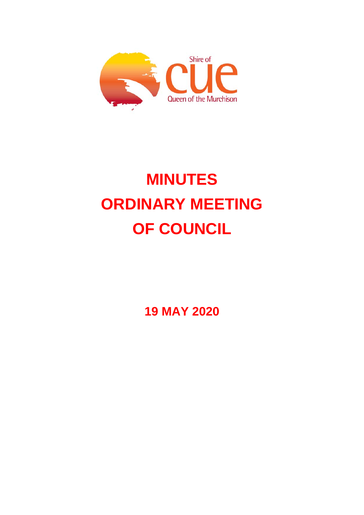

# **MINUTES ORDINARY MEETING OF COUNCIL**

**19 MAY 2020**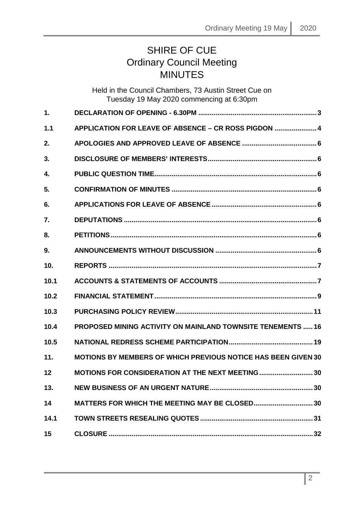# SHIRE OF CUE Ordinary Council Meeting **MINUTES**

Held in the Council Chambers, 73 Austin Street Cue on Tuesday 19 May 2020 commencing at 6:30pm

| 1.   |                                                                      |
|------|----------------------------------------------------------------------|
| 1.1  | APPLICATION FOR LEAVE OF ABSENCE - CR ROSS PIGDON  4                 |
| 2.   |                                                                      |
| 3.   |                                                                      |
| 4.   |                                                                      |
| 5.   |                                                                      |
| 6.   |                                                                      |
| 7.   |                                                                      |
| 8.   |                                                                      |
| 9.   |                                                                      |
| 10.  |                                                                      |
| 10.1 |                                                                      |
| 10.2 |                                                                      |
| 10.3 |                                                                      |
| 10.4 | <b>PROPOSED MINING ACTIVITY ON MAINLAND TOWNSITE TENEMENTS  16</b>   |
| 10.5 |                                                                      |
| 11.  | <b>MOTIONS BY MEMBERS OF WHICH PREVIOUS NOTICE HAS BEEN GIVEN 30</b> |
| 12   | MOTIONS FOR CONSIDERATION AT THE NEXT MEETING  30                    |
| 13.  |                                                                      |
| 14   | <b>MATTERS FOR WHICH THE MEETING MAY BE CLOSED 30</b>                |
| 14.1 |                                                                      |
| 15   |                                                                      |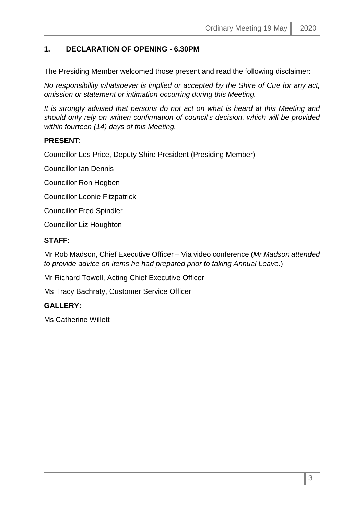# <span id="page-2-0"></span>**1. DECLARATION OF OPENING - 6.30PM**

The Presiding Member welcomed those present and read the following disclaimer:

*No responsibility whatsoever is implied or accepted by the Shire of Cue for any act, omission or statement or intimation occurring during this Meeting.*

*It is strongly advised that persons do not act on what is heard at this Meeting and should only rely on written confirmation of council's decision, which will be provided within fourteen (14) days of this Meeting.*

# **PRESENT**:

Councillor Les Price, Deputy Shire President (Presiding Member)

Councillor Ian Dennis

Councillor Ron Hogben

Councillor Leonie Fitzpatrick

Councillor Fred Spindler

Councillor Liz Houghton

#### **STAFF:**

Mr Rob Madson, Chief Executive Officer – Via video conference (*Mr Madson attended to provide advice on items he had prepared prior to taking Annual Leave*.)

Mr Richard Towell, Acting Chief Executive Officer

Ms Tracy Bachraty, Customer Service Officer

#### **GALLERY:**

Ms Catherine Willett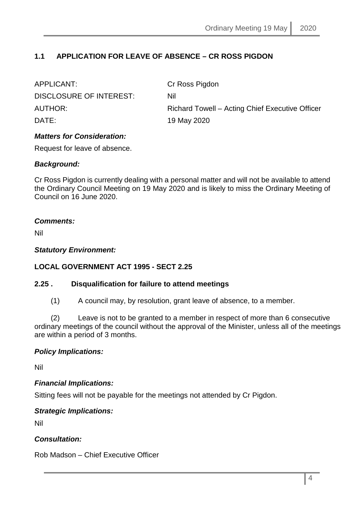# <span id="page-3-0"></span>**1.1 APPLICATION FOR LEAVE OF ABSENCE – CR ROSS PIGDON**

| APPLICANT:              | Cr Ross Pigdon                                  |
|-------------------------|-------------------------------------------------|
| DISCLOSURE OF INTEREST: | Nil                                             |
| <b>AUTHOR:</b>          | Richard Towell – Acting Chief Executive Officer |
| DATE:                   | 19 May 2020                                     |

#### *Matters for Consideration:*

Request for leave of absence.

### *Background:*

Cr Ross Pigdon is currently dealing with a personal matter and will not be available to attend the Ordinary Council Meeting on 19 May 2020 and is likely to miss the Ordinary Meeting of Council on 16 June 2020.

### *Comments:*

Nil

### *Statutory Environment:*

# **LOCAL GOVERNMENT ACT 1995 - SECT 2.25**

#### **2.25 . Disqualification for failure to attend meetings**

(1) A council may, by resolution, grant leave of absence, to a member.

(2) Leave is not to be granted to a member in respect of more than 6 consecutive ordinary meetings of the council without the approval of the Minister, unless all of the meetings are within a period of 3 months.

# *Policy Implications:*

Nil

#### *Financial Implications:*

Sitting fees will not be payable for the meetings not attended by Cr Pigdon.

# *Strategic Implications:*

Nil

# *Consultation:*

Rob Madson – Chief Executive Officer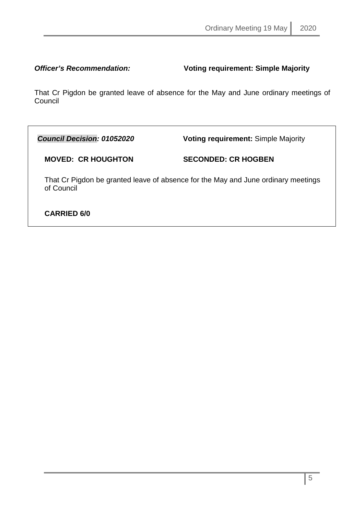*Officer's Recommendation:* **Voting requirement: Simple Majority**

That Cr Pigdon be granted leave of absence for the May and June ordinary meetings of **Council** 

*Council Decision: 01052020* **Voting requirement:** Simple Majority

**MOVED: CR HOUGHTON SECONDED: CR HOGBEN** 

That Cr Pigdon be granted leave of absence for the May and June ordinary meetings of Council

# **CARRIED 6/0**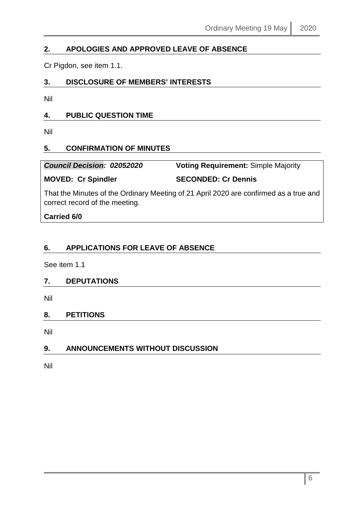# <span id="page-5-0"></span>**2. APOLOGIES AND APPROVED LEAVE OF ABSENCE**

Cr Pigdon, see item 1.1.

# <span id="page-5-1"></span>**3. DISCLOSURE OF MEMBERS' INTERESTS**

Nil

# <span id="page-5-2"></span>**4. PUBLIC QUESTION TIME**

Nil

# <span id="page-5-3"></span>**5. CONFIRMATION OF MINUTES**

| <b>Council Decision: 02052020</b> | <b>Voting Requirement: Simple Majority</b> |
|-----------------------------------|--------------------------------------------|
|                                   |                                            |

### **MOVED: Cr Spindler SECONDED: Cr Dennis**

That the Minutes of the Ordinary Meeting of 21 April 2020 are confirmed as a true and correct record of the meeting.

**Carried 6/0**

# <span id="page-5-4"></span>**6. APPLICATIONS FOR LEAVE OF ABSENCE**

See item 1.1

#### <span id="page-5-5"></span>**7. DEPUTATIONS**

Nil

# <span id="page-5-6"></span>**8. PETITIONS**

Nil

# <span id="page-5-7"></span>**9. ANNOUNCEMENTS WITHOUT DISCUSSION**

Nil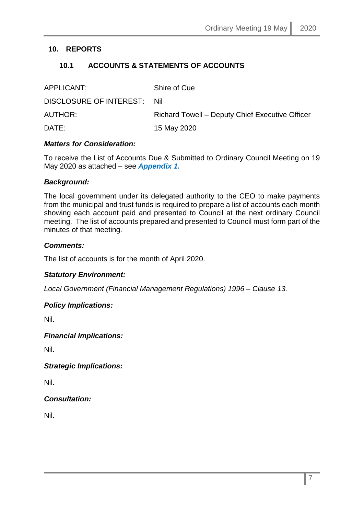# <span id="page-6-1"></span><span id="page-6-0"></span>**10. REPORTS**

# **10.1 ACCOUNTS & STATEMENTS OF ACCOUNTS**

| APPLICANT:                  | Shire of Cue                                    |
|-----------------------------|-------------------------------------------------|
| DISCLOSURE OF INTEREST: Nil |                                                 |
| AUTHOR:                     | Richard Towell – Deputy Chief Executive Officer |
| DATE:                       | 15 May 2020                                     |

#### *Matters for Consideration:*

To receive the List of Accounts Due & Submitted to Ordinary Council Meeting on 19 May 2020 as attached – see *Appendix 1.*

#### *Background:*

The local government under its delegated authority to the CEO to make payments from the municipal and trust funds is required to prepare a list of accounts each month showing each account paid and presented to Council at the next ordinary Council meeting. The list of accounts prepared and presented to Council must form part of the minutes of that meeting.

#### *Comments:*

The list of accounts is for the month of April 2020.

#### *Statutory Environment:*

*Local Government (Financial Management Regulations) 1996 – Clause 13.*

#### *Policy Implications:*

Nil.

#### *Financial Implications:*

Nil.

*Strategic Implications:*

Nil.

#### *Consultation:*

Nil.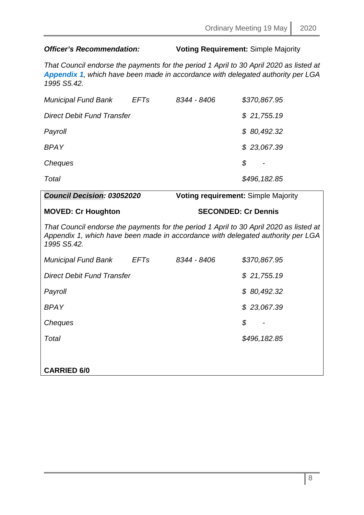# *Officer's Recommendation:* **Voting Requirement:** Simple Majority

*That Council endorse the payments for the period 1 April to 30 April 2020 as listed at Appendix 1, which have been made in accordance with delegated authority per LGA 1995 S5.42.*

| <b>Municipal Fund Bank</b> | <b>EFTs</b> | 8344 - 8406 | \$370,867.95 |
|----------------------------|-------------|-------------|--------------|
| Direct Debit Fund Transfer |             |             | \$21,755.19  |
| Payroll                    |             |             | \$80,492.32  |
| <b>BPAY</b>                |             |             | \$23,067.39  |
| Cheques                    |             |             | \$           |
| Total                      |             |             | \$496,182.85 |

# *Council Decision: 03052020* **Voting requirement:** Simple Majority **MOVED: Cr Houghton SECONDED: Cr Dennis** *That Council endorse the payments for the period 1 April to 30 April 2020 as listed at Appendix 1, which have been made in accordance with delegated authority per LGA 1995 S5.42. Municipal Fund Bank EFTs 8344 - 8406 \$370,867.95 Direct Debit Fund Transfer \$ 21,755.19 Payroll \$ 80,492.32 BPAY \$ 23,067.39 Cheques \$ - Total \$496,182.85* **CARRIED 6/0**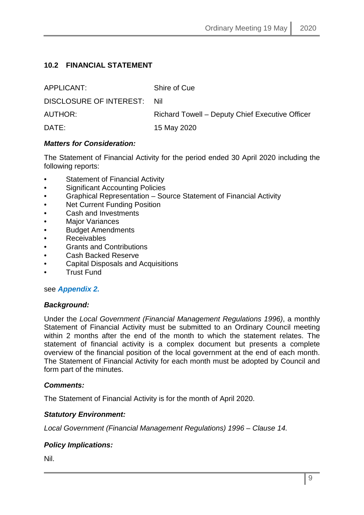# <span id="page-8-0"></span>**10.2 FINANCIAL STATEMENT**

| APPLICANT:              | Shire of Cue                                    |
|-------------------------|-------------------------------------------------|
| DISCLOSURE OF INTEREST: | Nil                                             |
| AUTHOR:                 | Richard Towell – Deputy Chief Executive Officer |
| DATE:                   | 15 May 2020                                     |

### *Matters for Consideration:*

The Statement of Financial Activity for the period ended 30 April 2020 including the following reports:

- Statement of Financial Activity
- Significant Accounting Policies
- Graphical Representation Source Statement of Financial Activity
- **Net Current Funding Position**
- Cash and Investments
- **Major Variances**
- Budget Amendments
- Receivables
- Grants and Contributions
- Cash Backed Reserve
- Capital Disposals and Acquisitions
- Trust Fund

#### see *Appendix 2.*

#### *Background:*

Under the *Local Government (Financial Management Regulations 1996)*, a monthly Statement of Financial Activity must be submitted to an Ordinary Council meeting within 2 months after the end of the month to which the statement relates. The statement of financial activity is a complex document but presents a complete overview of the financial position of the local government at the end of each month. The Statement of Financial Activity for each month must be adopted by Council and form part of the minutes.

#### *Comments:*

The Statement of Financial Activity is for the month of April 2020.

# *Statutory Environment:*

*Local Government (Financial Management Regulations) 1996 – Clause 14.*

# *Policy Implications:*

Nil.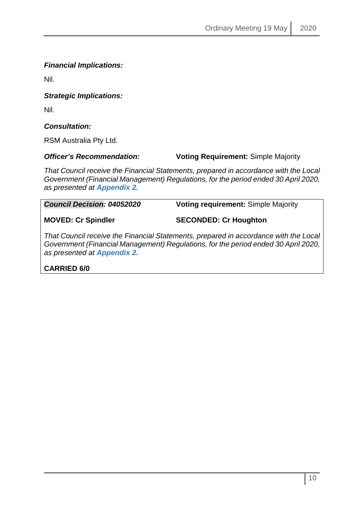# *Financial Implications:*

Nil.

#### *Strategic Implications:*

Nil.

# *Consultation:*

RSM Australia Pty Ltd.

#### *Officer's Recommendation:* **Voting Requirement:** Simple Majority

*That Council receive the Financial Statements, prepared in accordance with the Local Government (Financial Management) Regulations, for the period ended 30 April 2020, as presented at Appendix 2.*

| <b>Council Decision: 04052020</b> | <b>Voting requirement: Simple Majority</b>                                       |
|-----------------------------------|----------------------------------------------------------------------------------|
| <b>MOVED: Cr Spindler</b>         | <b>SECONDED: Cr Houghton</b>                                                     |
|                                   | That Council receive the Financial Statements, prepared in accordance with the L |

*That Council receive the Financial Statements, prepared in accordance with the Local Government (Financial Management) Regulations, for the period ended 30 April 2020, as presented at Appendix 2.*

# **CARRIED 6/0**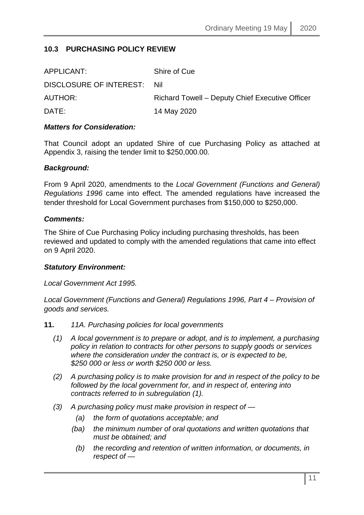# <span id="page-10-0"></span>**10.3 PURCHASING POLICY REVIEW**

| APPLICANT:              | Shire of Cue                                    |
|-------------------------|-------------------------------------------------|
| DISCLOSURE OF INTEREST: | <b>Nil</b>                                      |
| AUTHOR:                 | Richard Towell - Deputy Chief Executive Officer |
| DATE:                   | 14 May 2020                                     |

#### *Matters for Consideration:*

That Council adopt an updated Shire of cue Purchasing Policy as attached at Appendix 3, raising the tender limit to \$250,000.00.

#### *Background:*

From 9 April 2020, amendments to the *Local Government (Functions and General) Regulations 1996* came into effect. The amended regulations have increased the tender threshold for Local Government purchases from \$150,000 to \$250,000.

#### *Comments:*

The Shire of Cue Purchasing Policy including purchasing thresholds, has been reviewed and updated to comply with the amended regulations that came into effect on 9 April 2020.

#### *Statutory Environment:*

*Local Government Act 1995.*

*Local Government (Functions and General) Regulations 1996, Part 4 – Provision of goods and services.*

- **11.** *11A. Purchasing policies for local governments*
	- *(1) A local government is to prepare or adopt, and is to implement, a purchasing policy in relation to contracts for other persons to supply goods or services where the consideration under the contract is, or is expected to be, \$250 000 or less or worth \$250 000 or less.*
	- *(2) A purchasing policy is to make provision for and in respect of the policy to be followed by the local government for, and in respect of, entering into contracts referred to in subregulation (1).*
	- *(3) A purchasing policy must make provision in respect of —*
		- *(a) the form of quotations acceptable; and*
		- *(ba) the minimum number of oral quotations and written quotations that must be obtained; and*
			- *(b) the recording and retention of written information, or documents, in respect of —*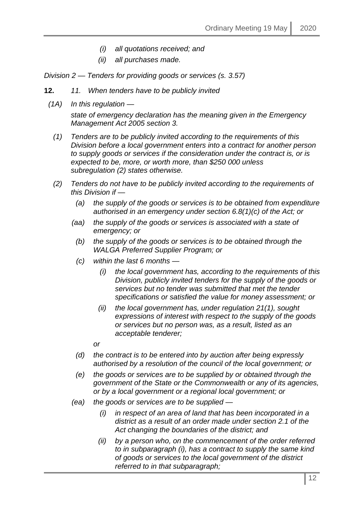- *(i) all quotations received; and*
- *(ii) all purchases made.*

*Division 2 — Tenders for providing goods or services (s. 3.57)*

- **12.** *11. When tenders have to be publicly invited*
- *(1A) In this regulation —*

*state of emergency declaration has the meaning given in the Emergency Management Act 2005 section 3.*

- *(1) Tenders are to be publicly invited according to the requirements of this Division before a local government enters into a contract for another person to supply goods or services if the consideration under the contract is, or is expected to be, more, or worth more, than \$250 000 unless subregulation (2) states otherwise.*
- *(2) Tenders do not have to be publicly invited according to the requirements of this Division if —*
	- *(a) the supply of the goods or services is to be obtained from expenditure authorised in an emergency under section 6.8(1)(c) of the Act; or*
	- *(aa) the supply of the goods or services is associated with a state of emergency; or*
		- *(b) the supply of the goods or services is to be obtained through the WALGA Preferred Supplier Program; or*
		- *(c) within the last 6 months —*
			- *(i) the local government has, according to the requirements of this Division, publicly invited tenders for the supply of the goods or services but no tender was submitted that met the tender specifications or satisfied the value for money assessment; or*
			- *(ii) the local government has, under regulation 21(1), sought expressions of interest with respect to the supply of the goods or services but no person was, as a result, listed as an acceptable tenderer;*
			- *or*
		- *(d) the contract is to be entered into by auction after being expressly authorised by a resolution of the council of the local government; or*
		- *(e) the goods or services are to be supplied by or obtained through the government of the State or the Commonwealth or any of its agencies, or by a local government or a regional local government; or*
	- *(ea) the goods or services are to be supplied —*
		- *(i) in respect of an area of land that has been incorporated in a district as a result of an order made under section 2.1 of the Act changing the boundaries of the district; and*
		- *(ii) by a person who, on the commencement of the order referred to in subparagraph (i), has a contract to supply the same kind of goods or services to the local government of the district referred to in that subparagraph;*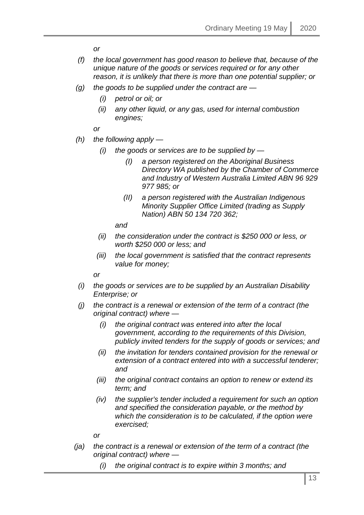*or*

- *(f) the local government has good reason to believe that, because of the unique nature of the goods or services required or for any other reason, it is unlikely that there is more than one potential supplier; or*
- *(g) the goods to be supplied under the contract are —*
	- *(i) petrol or oil; or*
	- *(ii) any other liquid, or any gas, used for internal combustion engines;*

*or*

- *(h) the following apply —*
	- *(i) the goods or services are to be supplied by —*
		- *(I) a person registered on the Aboriginal Business Directory WA published by the Chamber of Commerce and Industry of Western Australia Limited ABN 96 929 977 985; or*
		- *(II) a person registered with the Australian Indigenous Minority Supplier Office Limited (trading as Supply Nation) ABN 50 134 720 362;*

*and*

- *(ii) the consideration under the contract is \$250 000 or less, or worth \$250 000 or less; and*
- *(iii) the local government is satisfied that the contract represents value for money;*

*or*

- *(i) the goods or services are to be supplied by an Australian Disability Enterprise; or*
- *(j) the contract is a renewal or extension of the term of a contract (the original contract) where —*
	- *(i) the original contract was entered into after the local government, according to the requirements of this Division, publicly invited tenders for the supply of goods or services; and*
	- *(ii) the invitation for tenders contained provision for the renewal or extension of a contract entered into with a successful tenderer; and*
	- *(iii) the original contract contains an option to renew or extend its term; and*
	- *(iv) the supplier's tender included a requirement for such an option and specified the consideration payable, or the method by which the consideration is to be calculated, if the option were exercised;*

*or*

- *(ja) the contract is a renewal or extension of the term of a contract (the original contract) where —*
	- *(i) the original contract is to expire within 3 months; and*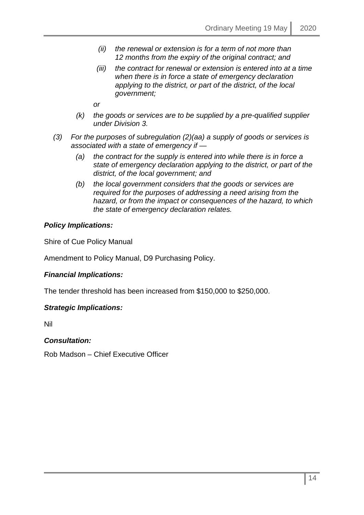- *(ii) the renewal or extension is for a term of not more than 12 months from the expiry of the original contract; and*
- *(iii) the contract for renewal or extension is entered into at a time when there is in force a state of emergency declaration applying to the district, or part of the district, of the local government;*

*or*

- *(k) the goods or services are to be supplied by a pre-qualified supplier under Division 3.*
- *(3) For the purposes of subregulation (2)(aa) a supply of goods or services is associated with a state of emergency if —*
	- *(a) the contract for the supply is entered into while there is in force a state of emergency declaration applying to the district, or part of the district, of the local government; and*
	- *(b) the local government considers that the goods or services are required for the purposes of addressing a need arising from the hazard, or from the impact or consequences of the hazard, to which the state of emergency declaration relates.*

### *Policy Implications:*

Shire of Cue Policy Manual

Amendment to Policy Manual, D9 Purchasing Policy.

# *Financial Implications:*

The tender threshold has been increased from \$150,000 to \$250,000.

#### *Strategic Implications:*

Nil

#### *Consultation:*

Rob Madson – Chief Executive Officer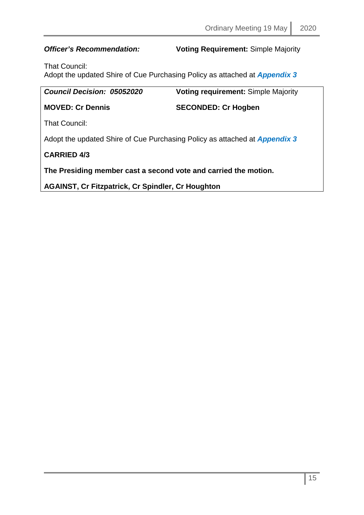*Officer's Recommendation:* **Voting Requirement:** Simple Majority

That Council:

Adopt the updated Shire of Cue Purchasing Policy as attached at *Appendix 3*

| <b>Council Decision: 05052020</b>                                                 | <b>Voting requirement: Simple Majority</b> |  |
|-----------------------------------------------------------------------------------|--------------------------------------------|--|
| <b>MOVED: Cr Dennis</b>                                                           | <b>SECONDED: Cr Hogben</b>                 |  |
| That Council:                                                                     |                                            |  |
| Adopt the updated Shire of Cue Purchasing Policy as attached at <b>Appendix 3</b> |                                            |  |
| <b>CARRIED 4/3</b>                                                                |                                            |  |
| The Presiding member cast a second vote and carried the motion.                   |                                            |  |
|                                                                                   |                                            |  |

**AGAINST, Cr Fitzpatrick, Cr Spindler, Cr Houghton**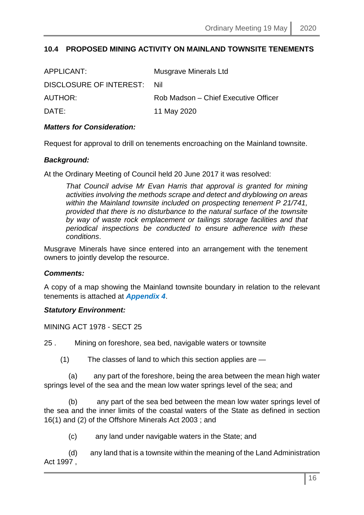# <span id="page-15-0"></span>**10.4 PROPOSED MINING ACTIVITY ON MAINLAND TOWNSITE TENEMENTS**

| APPLICANT:              | <b>Musgrave Minerals Ltd</b>         |
|-------------------------|--------------------------------------|
| DISCLOSURE OF INTEREST: | Nil                                  |
| AUTHOR:                 | Rob Madson – Chief Executive Officer |
| DATE:                   | 11 May 2020                          |

#### *Matters for Consideration:*

Request for approval to drill on tenements encroaching on the Mainland townsite.

#### *Background:*

At the Ordinary Meeting of Council held 20 June 2017 it was resolved:

*That Council advise Mr Evan Harris that approval is granted for mining activities involving the methods scrape and detect and dryblowing on areas within the Mainland townsite included on prospecting tenement P 21/741, provided that there is no disturbance to the natural surface of the townsite by way of waste rock emplacement or tailings storage facilities and that periodical inspections be conducted to ensure adherence with these conditions*.

Musgrave Minerals have since entered into an arrangement with the tenement owners to jointly develop the resource.

#### *Comments:*

A copy of a map showing the Mainland townsite boundary in relation to the relevant tenements is attached at *Appendix 4*.

#### *Statutory Environment:*

MINING ACT 1978 - SECT 25

25 . Mining on foreshore, sea bed, navigable waters or townsite

(1) The classes of land to which this section applies are —

 (a) any part of the foreshore, being the area between the mean high water springs level of the sea and the mean low water springs level of the sea; and

 (b) any part of the sea bed between the mean low water springs level of the sea and the inner limits of the coastal waters of the State as defined in section 16(1) and (2) of the Offshore Minerals Act 2003 ; and

(c) any land under navigable waters in the State; and

 (d) any land that is a townsite within the meaning of the Land Administration Act 1997 ,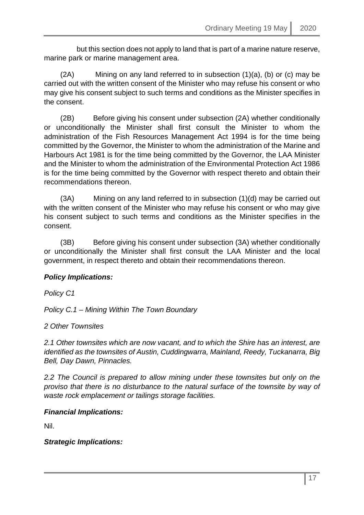but this section does not apply to land that is part of a marine nature reserve, marine park or marine management area.

 (2A) Mining on any land referred to in subsection (1)(a), (b) or (c) may be carried out with the written consent of the Minister who may refuse his consent or who may give his consent subject to such terms and conditions as the Minister specifies in the consent.

 (2B) Before giving his consent under subsection (2A) whether conditionally or unconditionally the Minister shall first consult the Minister to whom the administration of the Fish Resources Management Act 1994 is for the time being committed by the Governor, the Minister to whom the administration of the Marine and Harbours Act 1981 is for the time being committed by the Governor, the LAA Minister and the Minister to whom the administration of the Environmental Protection Act 1986 is for the time being committed by the Governor with respect thereto and obtain their recommendations thereon.

 (3A) Mining on any land referred to in subsection (1)(d) may be carried out with the written consent of the Minister who may refuse his consent or who may give his consent subject to such terms and conditions as the Minister specifies in the consent.

 (3B) Before giving his consent under subsection (3A) whether conditionally or unconditionally the Minister shall first consult the LAA Minister and the local government, in respect thereto and obtain their recommendations thereon.

# *Policy Implications:*

*Policy C1*

*Policy C.1 – Mining Within The Town Boundary*

*2 Other Townsites*

*2.1 Other townsites which are now vacant, and to which the Shire has an interest, are identified as the townsites of Austin, Cuddingwarra, Mainland, Reedy, Tuckanarra, Big Bell, Day Dawn, Pinnacles.*

*2.2 The Council is prepared to allow mining under these townsites but only on the proviso that there is no disturbance to the natural surface of the townsite by way of waste rock emplacement or tailings storage facilities.*

*Financial Implications:*

Nil.

*Strategic Implications:*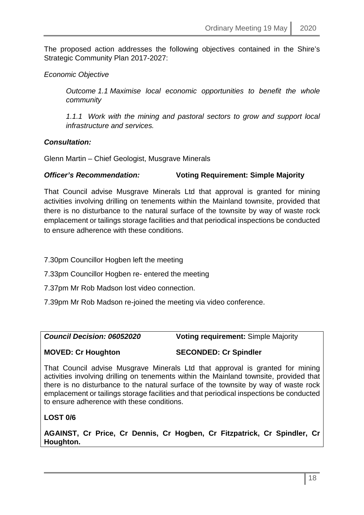The proposed action addresses the following objectives contained in the Shire's Strategic Community Plan 2017-2027:

# *Economic Objective*

*Outcome 1.1 Maximise local economic opportunities to benefit the whole community*

*1.1.1 Work with the mining and pastoral sectors to grow and support local infrastructure and services.*

# *Consultation:*

Glenn Martin – Chief Geologist, Musgrave Minerals

# *Officer's Recommendation:* **Voting Requirement: Simple Majority**

That Council advise Musgrave Minerals Ltd that approval is granted for mining activities involving drilling on tenements within the Mainland townsite, provided that there is no disturbance to the natural surface of the townsite by way of waste rock emplacement or tailings storage facilities and that periodical inspections be conducted to ensure adherence with these conditions.

- 7.30pm Councillor Hogben left the meeting
- 7.33pm Councillor Hogben re- entered the meeting
- 7.37pm Mr Rob Madson lost video connection.
- 7.39pm Mr Rob Madson re-joined the meeting via video conference.

*Council Decision: 06052020* **Voting requirement:** Simple Majority

**MOVED: Cr Houghton SECONDED: Cr Spindler**

That Council advise Musgrave Minerals Ltd that approval is granted for mining activities involving drilling on tenements within the Mainland townsite, provided that there is no disturbance to the natural surface of the townsite by way of waste rock emplacement or tailings storage facilities and that periodical inspections be conducted to ensure adherence with these conditions.

# **LOST 0/6**

**AGAINST, Cr Price, Cr Dennis, Cr Hogben, Cr Fitzpatrick, Cr Spindler, Cr Houghton.**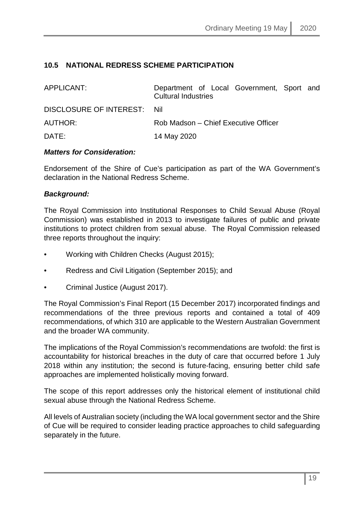# <span id="page-18-0"></span>**10.5 NATIONAL REDRESS SCHEME PARTICIPATION**

| APPLICANT:                  | Department of Local Government, Sport and<br><b>Cultural Industries</b> |  |
|-----------------------------|-------------------------------------------------------------------------|--|
| DISCLOSURE OF INTEREST: Nil |                                                                         |  |
| AUTHOR:                     | Rob Madson – Chief Executive Officer                                    |  |
| DATE:                       | 14 May 2020                                                             |  |

### *Matters for Consideration:*

Endorsement of the Shire of Cue's participation as part of the WA Government's declaration in the National Redress Scheme.

### *Background:*

The Royal Commission into Institutional Responses to Child Sexual Abuse (Royal Commission) was established in 2013 to investigate failures of public and private institutions to protect children from sexual abuse. The Royal Commission released three reports throughout the inquiry:

- Working with Children Checks (August 2015);
- Redress and Civil Litigation (September 2015); and
- Criminal Justice (August 2017).

The Royal Commission's Final Report (15 December 2017) incorporated findings and recommendations of the three previous reports and contained a total of 409 recommendations, of which 310 are applicable to the Western Australian Government and the broader WA community.

The implications of the Royal Commission's recommendations are twofold: the first is accountability for historical breaches in the duty of care that occurred before 1 July 2018 within any institution; the second is future-facing, ensuring better child safe approaches are implemented holistically moving forward.

The scope of this report addresses only the historical element of institutional child sexual abuse through the National Redress Scheme.

All levels of Australian society (including the WA local government sector and the Shire of Cue will be required to consider leading practice approaches to child safeguarding separately in the future.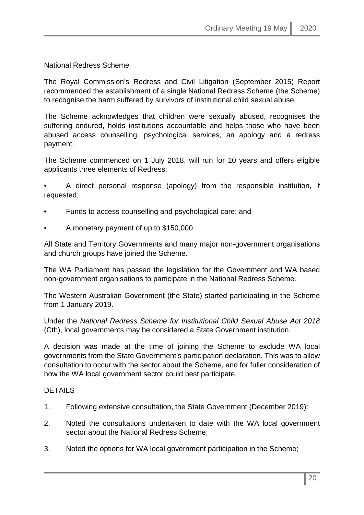National Redress Scheme

The Royal Commission's Redress and Civil Litigation (September 2015) Report recommended the establishment of a single National Redress Scheme (the Scheme) to recognise the harm suffered by survivors of institutional child sexual abuse.

The Scheme acknowledges that children were sexually abused, recognises the suffering endured, holds institutions accountable and helps those who have been abused access counselling, psychological services, an apology and a redress payment.

The Scheme commenced on 1 July 2018, will run for 10 years and offers eligible applicants three elements of Redress:

• A direct personal response (apology) from the responsible institution, if requested;

- Funds to access counselling and psychological care; and
- A monetary payment of up to \$150,000.

All State and Territory Governments and many major non-government organisations and church groups have joined the Scheme.

The WA Parliament has passed the legislation for the Government and WA based non-government organisations to participate in the National Redress Scheme.

The Western Australian Government (the State) started participating in the Scheme from 1 January 2019.

Under the *National Redress Scheme for Institutional Child Sexual Abuse Act 2018* (Cth), local governments may be considered a State Government institution.

A decision was made at the time of joining the Scheme to exclude WA local governments from the State Government's participation declaration. This was to allow consultation to occur with the sector about the Scheme, and for fuller consideration of how the WA local government sector could best participate.

#### DETAILS

- 1. Following extensive consultation, the State Government (December 2019):
- 2. Noted the consultations undertaken to date with the WA local government sector about the National Redress Scheme;
- 3. Noted the options for WA local government participation in the Scheme;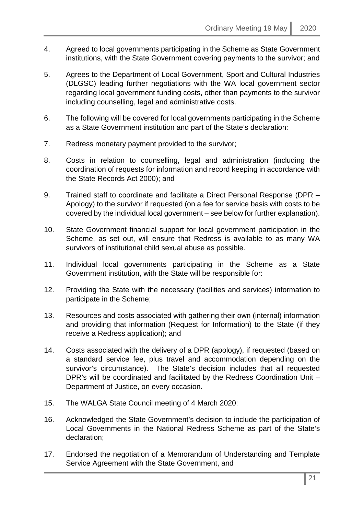- 4. Agreed to local governments participating in the Scheme as State Government institutions, with the State Government covering payments to the survivor; and
- 5. Agrees to the Department of Local Government, Sport and Cultural Industries (DLGSC) leading further negotiations with the WA local government sector regarding local government funding costs, other than payments to the survivor including counselling, legal and administrative costs.
- 6. The following will be covered for local governments participating in the Scheme as a State Government institution and part of the State's declaration:
- 7. Redress monetary payment provided to the survivor;
- 8. Costs in relation to counselling, legal and administration (including the coordination of requests for information and record keeping in accordance with the State Records Act 2000); and
- 9. Trained staff to coordinate and facilitate a Direct Personal Response (DPR Apology) to the survivor if requested (on a fee for service basis with costs to be covered by the individual local government – see below for further explanation).
- 10. State Government financial support for local government participation in the Scheme, as set out, will ensure that Redress is available to as many WA survivors of institutional child sexual abuse as possible.
- 11. Individual local governments participating in the Scheme as a State Government institution, with the State will be responsible for:
- 12. Providing the State with the necessary (facilities and services) information to participate in the Scheme;
- 13. Resources and costs associated with gathering their own (internal) information and providing that information (Request for Information) to the State (if they receive a Redress application); and
- 14. Costs associated with the delivery of a DPR (apology), if requested (based on a standard service fee, plus travel and accommodation depending on the survivor's circumstance). The State's decision includes that all requested DPR's will be coordinated and facilitated by the Redress Coordination Unit – Department of Justice, on every occasion.
- 15. The WALGA State Council meeting of 4 March 2020:
- 16. Acknowledged the State Government's decision to include the participation of Local Governments in the National Redress Scheme as part of the State's declaration;
- 17. Endorsed the negotiation of a Memorandum of Understanding and Template Service Agreement with the State Government, and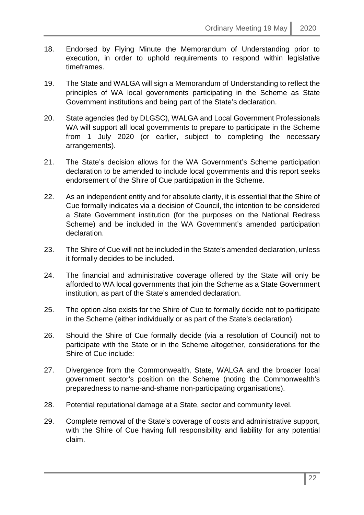- 18. Endorsed by Flying Minute the Memorandum of Understanding prior to execution, in order to uphold requirements to respond within legislative timeframes.
- 19. The State and WALGA will sign a Memorandum of Understanding to reflect the principles of WA local governments participating in the Scheme as State Government institutions and being part of the State's declaration.
- 20. State agencies (led by DLGSC), WALGA and Local Government Professionals WA will support all local governments to prepare to participate in the Scheme from 1 July 2020 (or earlier, subject to completing the necessary arrangements).
- 21. The State's decision allows for the WA Government's Scheme participation declaration to be amended to include local governments and this report seeks endorsement of the Shire of Cue participation in the Scheme.
- 22. As an independent entity and for absolute clarity, it is essential that the Shire of Cue formally indicates via a decision of Council, the intention to be considered a State Government institution (for the purposes on the National Redress Scheme) and be included in the WA Government's amended participation declaration.
- 23. The Shire of Cue will not be included in the State's amended declaration, unless it formally decides to be included.
- 24. The financial and administrative coverage offered by the State will only be afforded to WA local governments that join the Scheme as a State Government institution, as part of the State's amended declaration.
- 25. The option also exists for the Shire of Cue to formally decide not to participate in the Scheme (either individually or as part of the State's declaration).
- 26. Should the Shire of Cue formally decide (via a resolution of Council) not to participate with the State or in the Scheme altogether, considerations for the Shire of Cue include:
- 27. Divergence from the Commonwealth, State, WALGA and the broader local government sector's position on the Scheme (noting the Commonwealth's preparedness to name-and-shame non-participating organisations).
- 28. Potential reputational damage at a State, sector and community level.
- 29. Complete removal of the State's coverage of costs and administrative support, with the Shire of Cue having full responsibility and liability for any potential claim.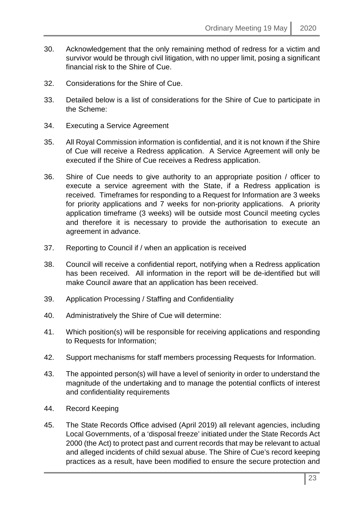- 30. Acknowledgement that the only remaining method of redress for a victim and survivor would be through civil litigation, with no upper limit, posing a significant financial risk to the Shire of Cue.
- 32. Considerations for the Shire of Cue.
- 33. Detailed below is a list of considerations for the Shire of Cue to participate in the Scheme:
- 34. Executing a Service Agreement
- 35. All Royal Commission information is confidential, and it is not known if the Shire of Cue will receive a Redress application. A Service Agreement will only be executed if the Shire of Cue receives a Redress application.
- 36. Shire of Cue needs to give authority to an appropriate position / officer to execute a service agreement with the State, if a Redress application is received. Timeframes for responding to a Request for Information are 3 weeks for priority applications and 7 weeks for non-priority applications. A priority application timeframe (3 weeks) will be outside most Council meeting cycles and therefore it is necessary to provide the authorisation to execute an agreement in advance.
- 37. Reporting to Council if / when an application is received
- 38. Council will receive a confidential report, notifying when a Redress application has been received. All information in the report will be de-identified but will make Council aware that an application has been received.
- 39. Application Processing / Staffing and Confidentiality
- 40. Administratively the Shire of Cue will determine:
- 41. Which position(s) will be responsible for receiving applications and responding to Requests for Information;
- 42. Support mechanisms for staff members processing Requests for Information.
- 43. The appointed person(s) will have a level of seniority in order to understand the magnitude of the undertaking and to manage the potential conflicts of interest and confidentiality requirements
- 44. Record Keeping
- 45. The State Records Office advised (April 2019) all relevant agencies, including Local Governments, of a 'disposal freeze' initiated under the State Records Act 2000 (the Act) to protect past and current records that may be relevant to actual and alleged incidents of child sexual abuse. The Shire of Cue's record keeping practices as a result, have been modified to ensure the secure protection and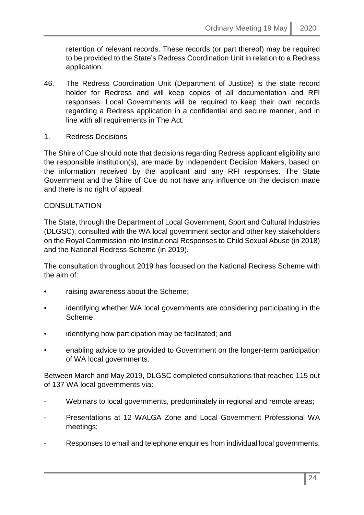retention of relevant records. These records (or part thereof) may be required to be provided to the State's Redress Coordination Unit in relation to a Redress application.

- 46. The Redress Coordination Unit (Department of Justice) is the state record holder for Redress and will keep copies of all documentation and RFI responses. Local Governments will be required to keep their own records regarding a Redress application in a confidential and secure manner, and in line with all requirements in The Act.
- 1. Redress Decisions

The Shire of Cue should note that decisions regarding Redress applicant eligibility and the responsible institution(s), are made by Independent Decision Makers, based on the information received by the applicant and any RFI responses. The State Government and the Shire of Cue do not have any influence on the decision made and there is no right of appeal.

#### **CONSULTATION**

The State, through the Department of Local Government, Sport and Cultural Industries (DLGSC), consulted with the WA local government sector and other key stakeholders on the Royal Commission into Institutional Responses to Child Sexual Abuse (in 2018) and the National Redress Scheme (in 2019).

The consultation throughout 2019 has focused on the National Redress Scheme with the aim of:

- raising awareness about the Scheme;
- identifying whether WA local governments are considering participating in the Scheme;
- identifying how participation may be facilitated; and
- enabling advice to be provided to Government on the longer-term participation of WA local governments.

Between March and May 2019, DLGSC completed consultations that reached 115 out of 137 WA local governments via:

- Webinars to local governments, predominately in regional and remote areas;
- Presentations at 12 WALGA Zone and Local Government Professional WA meetings;
- Responses to email and telephone enquiries from individual local governments.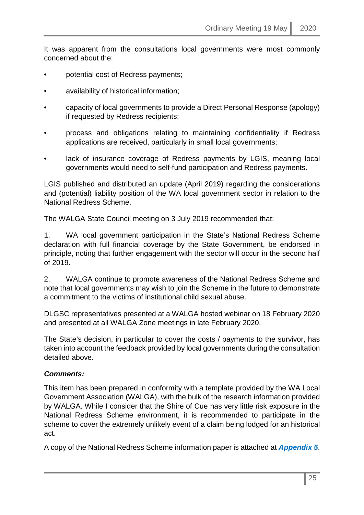It was apparent from the consultations local governments were most commonly concerned about the:

- potential cost of Redress payments;
- availability of historical information;
- capacity of local governments to provide a Direct Personal Response (apology) if requested by Redress recipients;
- process and obligations relating to maintaining confidentiality if Redress applications are received, particularly in small local governments;
- lack of insurance coverage of Redress payments by LGIS, meaning local governments would need to self-fund participation and Redress payments.

LGIS published and distributed an update (April 2019) regarding the considerations and (potential) liability position of the WA local government sector in relation to the National Redress Scheme.

The WALGA State Council meeting on 3 July 2019 recommended that:

1. WA local government participation in the State's National Redress Scheme declaration with full financial coverage by the State Government, be endorsed in principle, noting that further engagement with the sector will occur in the second half of 2019.

2. WALGA continue to promote awareness of the National Redress Scheme and note that local governments may wish to join the Scheme in the future to demonstrate a commitment to the victims of institutional child sexual abuse.

DLGSC representatives presented at a WALGA hosted webinar on 18 February 2020 and presented at all WALGA Zone meetings in late February 2020.

The State's decision, in particular to cover the costs / payments to the survivor, has taken into account the feedback provided by local governments during the consultation detailed above.

#### *Comments:*

This item has been prepared in conformity with a template provided by the WA Local Government Association (WALGA), with the bulk of the research information provided by WALGA. While I consider that the Shire of Cue has very little risk exposure in the National Redress Scheme environment, it is recommended to participate in the scheme to cover the extremely unlikely event of a claim being lodged for an historical act.

A copy of the National Redress Scheme information paper is attached at *Appendix 5*.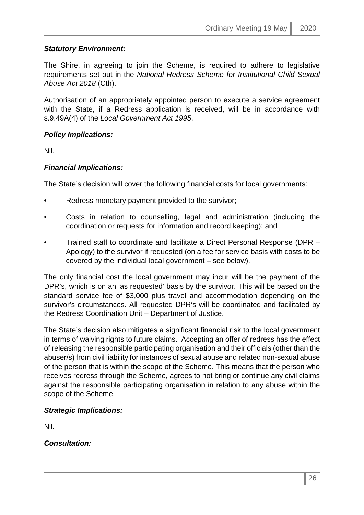# *Statutory Environment:*

The Shire, in agreeing to join the Scheme, is required to adhere to legislative requirements set out in the *National Redress Scheme for Institutional Child Sexual Abuse Act 2018* (Cth).

Authorisation of an appropriately appointed person to execute a service agreement with the State, if a Redress application is received, will be in accordance with s.9.49A(4) of the *Local Government Act 1995*.

### *Policy Implications:*

Nil.

# *Financial Implications:*

The State's decision will cover the following financial costs for local governments:

- Redress monetary payment provided to the survivor;
- Costs in relation to counselling, legal and administration (including the coordination or requests for information and record keeping); and
- Trained staff to coordinate and facilitate a Direct Personal Response (DPR Apology) to the survivor if requested (on a fee for service basis with costs to be covered by the individual local government – see below).

The only financial cost the local government may incur will be the payment of the DPR's, which is on an 'as requested' basis by the survivor. This will be based on the standard service fee of \$3,000 plus travel and accommodation depending on the survivor's circumstances. All requested DPR's will be coordinated and facilitated by the Redress Coordination Unit – Department of Justice.

The State's decision also mitigates a significant financial risk to the local government in terms of waiving rights to future claims. Accepting an offer of redress has the effect of releasing the responsible participating organisation and their officials (other than the abuser/s) from civil liability for instances of sexual abuse and related non-sexual abuse of the person that is within the scope of the Scheme. This means that the person who receives redress through the Scheme, agrees to not bring or continue any civil claims against the responsible participating organisation in relation to any abuse within the scope of the Scheme.

# *Strategic Implications:*

Nil*.*

*Consultation:*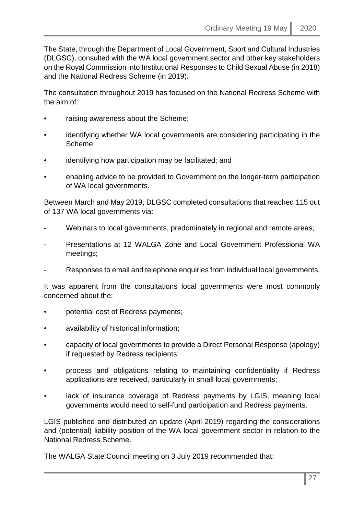The State, through the Department of Local Government, Sport and Cultural Industries (DLGSC), consulted with the WA local government sector and other key stakeholders on the Royal Commission into Institutional Responses to Child Sexual Abuse (in 2018) and the National Redress Scheme (in 2019).

The consultation throughout 2019 has focused on the National Redress Scheme with the aim of:

- raising awareness about the Scheme;
- identifying whether WA local governments are considering participating in the Scheme;
- identifying how participation may be facilitated; and
- enabling advice to be provided to Government on the longer-term participation of WA local governments.

Between March and May 2019, DLGSC completed consultations that reached 115 out of 137 WA local governments via:

- Webinars to local governments, predominately in regional and remote areas;
- Presentations at 12 WALGA Zone and Local Government Professional WA meetings;
- Responses to email and telephone enquiries from individual local governments.

It was apparent from the consultations local governments were most commonly concerned about the:

- potential cost of Redress payments;
- availability of historical information;
- capacity of local governments to provide a Direct Personal Response (apology) if requested by Redress recipients;
- process and obligations relating to maintaining confidentiality if Redress applications are received, particularly in small local governments;
- lack of insurance coverage of Redress payments by LGIS, meaning local governments would need to self-fund participation and Redress payments.

LGIS published and distributed an update (April 2019) regarding the considerations and (potential) liability position of the WA local government sector in relation to the National Redress Scheme.

The WALGA State Council meeting on 3 July 2019 recommended that: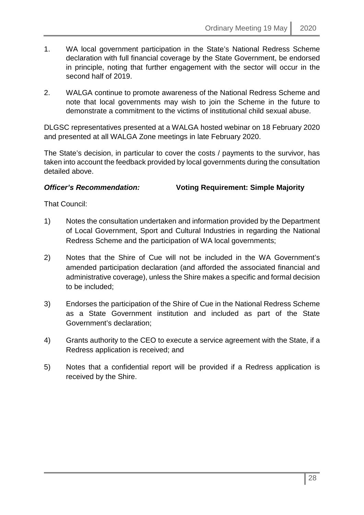- 1. WA local government participation in the State's National Redress Scheme declaration with full financial coverage by the State Government, be endorsed in principle, noting that further engagement with the sector will occur in the second half of 2019.
- 2. WALGA continue to promote awareness of the National Redress Scheme and note that local governments may wish to join the Scheme in the future to demonstrate a commitment to the victims of institutional child sexual abuse.

DLGSC representatives presented at a WALGA hosted webinar on 18 February 2020 and presented at all WALGA Zone meetings in late February 2020.

The State's decision, in particular to cover the costs / payments to the survivor, has taken into account the feedback provided by local governments during the consultation detailed above.

# *Officer's Recommendation:* **Voting Requirement: Simple Majority**

That Council:

- 1) Notes the consultation undertaken and information provided by the Department of Local Government, Sport and Cultural Industries in regarding the National Redress Scheme and the participation of WA local governments;
- 2) Notes that the Shire of Cue will not be included in the WA Government's amended participation declaration (and afforded the associated financial and administrative coverage), unless the Shire makes a specific and formal decision to be included;
- 3) Endorses the participation of the Shire of Cue in the National Redress Scheme as a State Government institution and included as part of the State Government's declaration;
- 4) Grants authority to the CEO to execute a service agreement with the State, if a Redress application is received; and
- 5) Notes that a confidential report will be provided if a Redress application is received by the Shire.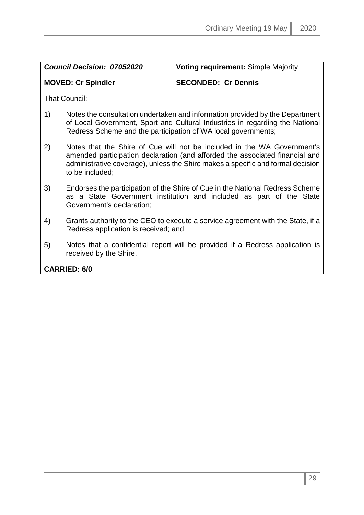*Council Decision: 07052020* **Voting requirement:** Simple Majority

# **MOVED: Cr Spindler SECONDED: Cr Dennis**

That Council:

- 1) Notes the consultation undertaken and information provided by the Department of Local Government, Sport and Cultural Industries in regarding the National Redress Scheme and the participation of WA local governments;
- 2) Notes that the Shire of Cue will not be included in the WA Government's amended participation declaration (and afforded the associated financial and administrative coverage), unless the Shire makes a specific and formal decision to be included;
- 3) Endorses the participation of the Shire of Cue in the National Redress Scheme as a State Government institution and included as part of the State Government's declaration;
- 4) Grants authority to the CEO to execute a service agreement with the State, if a Redress application is received; and
- 5) Notes that a confidential report will be provided if a Redress application is received by the Shire.

# **CARRIED: 6/0**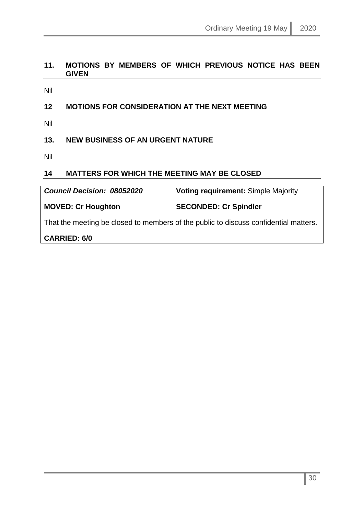# <span id="page-29-0"></span>**11. MOTIONS BY MEMBERS OF WHICH PREVIOUS NOTICE HAS BEEN GIVEN**

Nil

# <span id="page-29-1"></span>**12 MOTIONS FOR CONSIDERATION AT THE NEXT MEETING**

Nil

# <span id="page-29-2"></span>**13. NEW BUSINESS OF AN URGENT NATURE**

Nil

# <span id="page-29-3"></span>**14 MATTERS FOR WHICH THE MEETING MAY BE CLOSED**

*Council Decision: 08052020* **Voting requirement:** Simple Majority

**MOVED: Cr Houghton SECONDED: Cr Spindler**

That the meeting be closed to members of the public to discuss confidential matters.

**CARRIED: 6/0**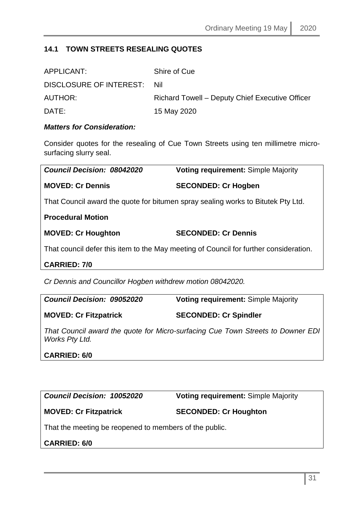# <span id="page-30-0"></span>**14.1 TOWN STREETS RESEALING QUOTES**

| APPLICANT:                  | Shire of Cue                                    |
|-----------------------------|-------------------------------------------------|
| DISCLOSURE OF INTEREST: Nil |                                                 |
| AUTHOR:                     | Richard Towell – Deputy Chief Executive Officer |
| DATE:                       | 15 May 2020                                     |

# *Matters for Consideration:*

Consider quotes for the resealing of Cue Town Streets using ten millimetre microsurfacing slurry seal.

| Council Decision: 08042020                                                            | <b>Voting requirement: Simple Majority</b> |
|---------------------------------------------------------------------------------------|--------------------------------------------|
| <b>MOVED: Cr Dennis</b>                                                               | <b>SECONDED: Cr Hogben</b>                 |
| That Council award the quote for bitumen spray sealing works to Bitutek Pty Ltd.      |                                            |
| <b>Procedural Motion</b>                                                              |                                            |
| <b>MOVED: Cr Houghton</b>                                                             | <b>SECONDED: Cr Dennis</b>                 |
| That council defer this item to the May meeting of Council for further consideration. |                                            |
| <b>CARRIED: 7/0</b>                                                                   |                                            |

*Cr Dennis and Councillor Hogben withdrew motion 08042020.*

| <b>Council Decision: 09052020</b> | <b>Voting requirement: Simple Majority</b>                                     |
|-----------------------------------|--------------------------------------------------------------------------------|
| <b>MOVED: Cr Fitzpatrick</b>      | <b>SECONDED: Cr Spindler</b>                                                   |
|                                   | That Council award the quote for Micro-surfacing Cue Town Streets to Downer FI |

*That Council award the quote for Micro-surfacing Cue Town Streets to Downer EDI Works Pty Ltd.*

#### **CARRIED: 6/0**

*Council Decision: 10052020* **Voting requirement:** Simple Majority

# **MOVED: Cr Fitzpatrick SECONDED: Cr Houghton**

That the meeting be reopened to members of the public.

# **CARRIED: 6/0**